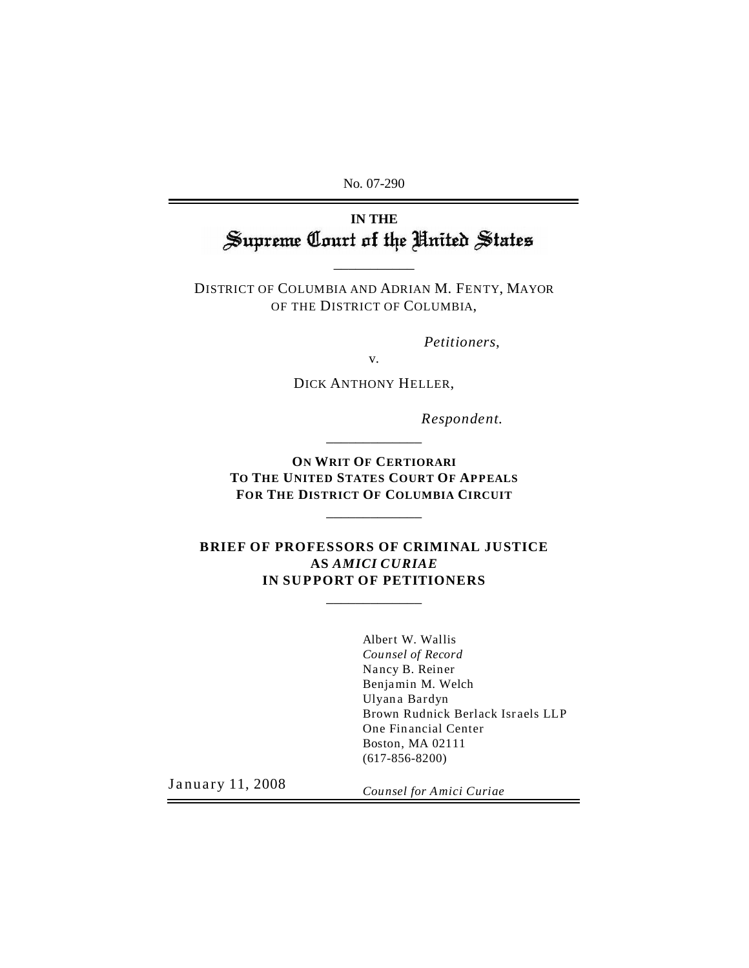No. 07-290

# IN THE<br>**Supreme Court of the United States**

DISTRICT OF COLUMBIA AND ADRIAN M. FENTY, MAYOR OF THE DISTRICT OF COLUMBIA,

\_\_\_\_\_\_\_\_\_\_\_

*Petitioners*,

DICK ANTHONY HELLER,

v.

*Respondent.*

**ON WRIT OF CERTIORARI TO THE UNITED STATES COURT OF APPEALS FOR THE DISTRICT OF COLUMBIA CIRCUIT**

\_\_\_\_\_\_\_\_\_\_\_\_\_

\_\_\_\_\_\_\_\_\_\_\_\_\_

#### **BRIEF OF PROFESSORS OF CRIMINAL JUSTICE AS** *AMICI CURIAE* **IN SUPPORT OF PETITIONERS**

\_\_\_\_\_\_\_\_\_\_\_\_\_

Albert W. Wallis *Counsel of Record* Nancy B. Reiner Benjamin M. Welch Ulyana Bardyn Brown Rudnick Berlack Israels LLP One Financial Center Boston, MA 02111 (617-856-8200)

January 11, 2008

*Counsel for Amici Curiae*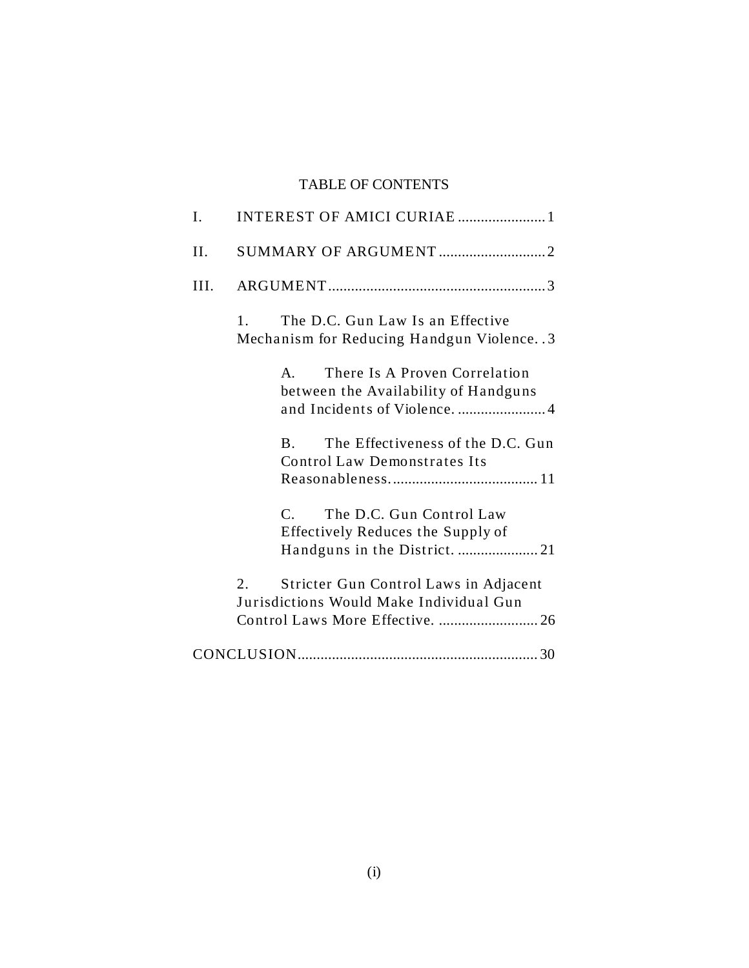# TABLE OF CONTENTS

| I.   | INTEREST OF AMICI CURIAE  1                                                                                                |
|------|----------------------------------------------------------------------------------------------------------------------------|
| II.  | SUMMARY OF ARGUMENT2                                                                                                       |
| III. |                                                                                                                            |
|      | The D.C. Gun Law Is an Effective<br>1.<br>Mechanism for Reducing Handgun Violence. . 3                                     |
|      | There Is A Proven Correlation<br>$\mathbf{A}$<br>between the Availability of Handguns<br>and Incidents of Violence.  4     |
|      | The Effectiveness of the D.C. Gun<br>$\bf{B}$<br><b>Control Law Demonstrates Its</b>                                       |
|      | The D.C. Gun Control Law<br>$\mathsf{C}$<br>Effectively Reduces the Supply of                                              |
|      | 2.<br>Stricter Gun Control Laws in Adjacent<br>Jurisdictions Would Make Individual Gun<br>Control Laws More Effective.  26 |
|      |                                                                                                                            |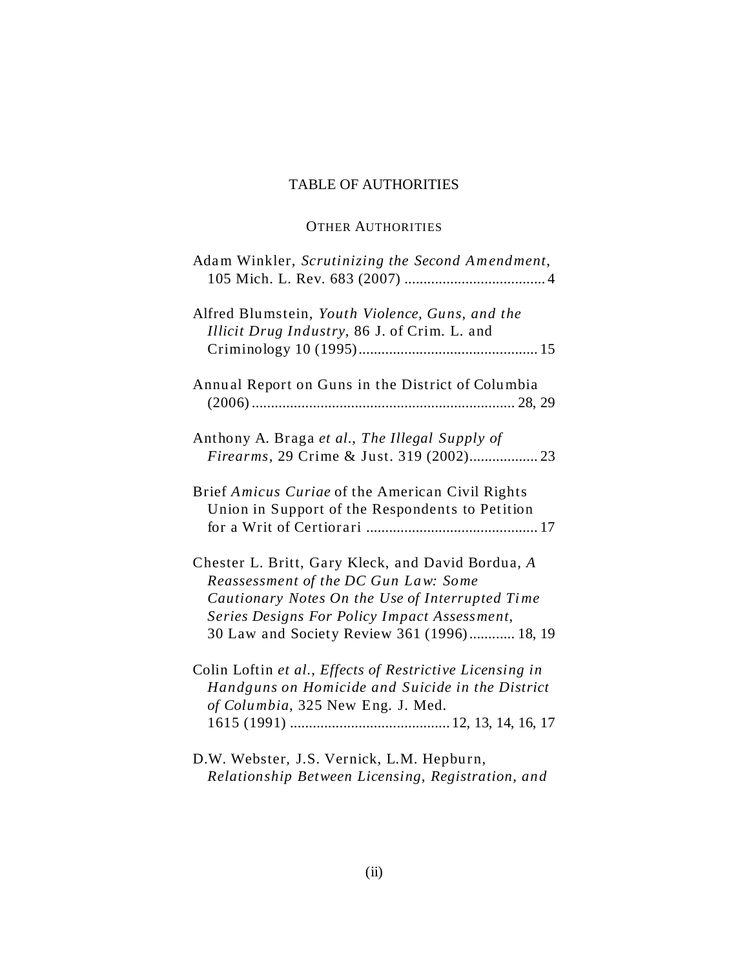# TABLE OF AUTHORITIES

# OTHER AUTHORITIES

| Adam Winkler, Scrutinizing the Second Amendment,                                                                                                                                                                                            |
|---------------------------------------------------------------------------------------------------------------------------------------------------------------------------------------------------------------------------------------------|
| Alfred Blumstein, Youth Violence, Guns, and the<br>Illicit Drug Industry, 86 J. of Crim. L. and                                                                                                                                             |
| Annual Report on Guns in the District of Columbia                                                                                                                                                                                           |
| Anthony A. Braga et al., The Illegal Supply of                                                                                                                                                                                              |
| Brief Amicus Curiae of the American Civil Rights<br>Union in Support of the Respondents to Petition                                                                                                                                         |
| Chester L. Britt, Gary Kleck, and David Bordua, A<br>Reassessment of the DC Gun Law: Some<br>Cautionary Notes On the Use of Interrupted Time<br>Series Designs For Policy Impact Assessment,<br>30 Law and Society Review 361 (1996) 18, 19 |
| Colin Loftin et al., Effects of Restrictive Licensing in<br>Handguns on Homicide and Suicide in the District<br>of Columbia, 325 New Eng. J. Med.                                                                                           |
| D.W. Webster, J.S. Vernick, L.M. Hepburn,<br>Relationship Between Licensing, Registration, and                                                                                                                                              |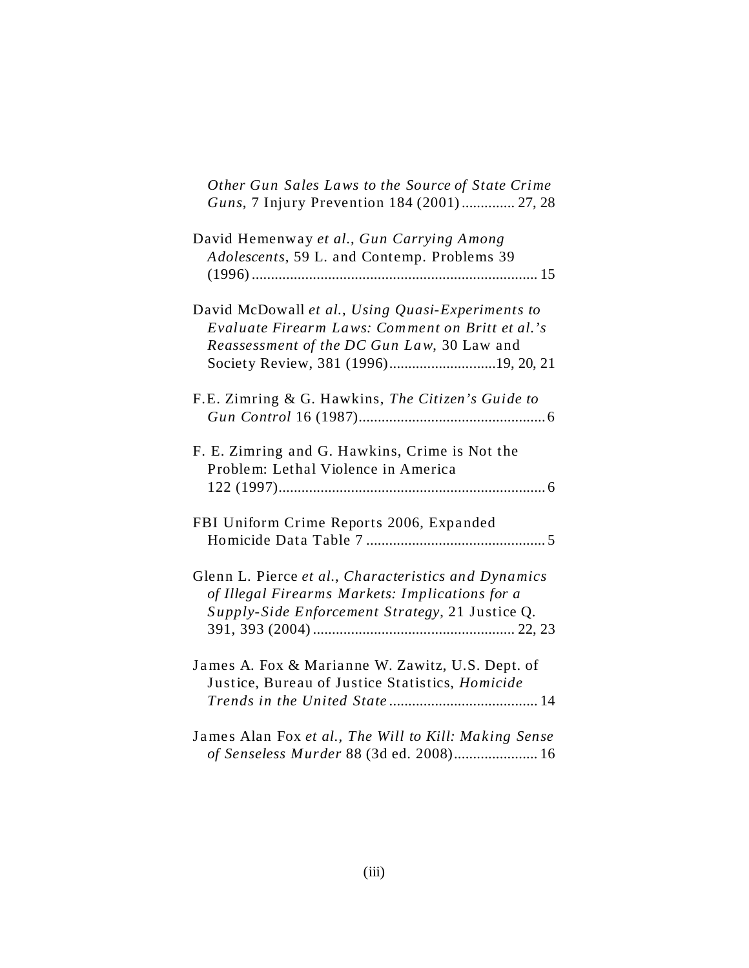| Other Gun Sales Laws to the Source of State Crime<br>Guns, 7 Injury Prevention 184 (2001) 27, 28                                                                                            |
|---------------------------------------------------------------------------------------------------------------------------------------------------------------------------------------------|
| David Hemenway et al., Gun Carrying Among<br>Adolescents, 59 L. and Contemp. Problems 39                                                                                                    |
| David McDowall et al., Using Quasi-Experiments to<br>Evaluate Firearm Laws: Comment on Britt et al.'s<br>Reassessment of the DC Gun Law, 30 Law and<br>Society Review, 381 (1996)19, 20, 21 |
| F.E. Zimring & G. Hawkins, The Citizen's Guide to                                                                                                                                           |
| F. E. Zimring and G. Hawkins, Crime is Not the<br>Problem: Lethal Violence in America                                                                                                       |
| FBI Uniform Crime Reports 2006, Expanded                                                                                                                                                    |
| Glenn L. Pierce et al., Characteristics and Dynamics<br>of Illegal Firearms Markets: Implications for a<br>Supply-Side Enforcement Strategy, 21 Justice Q.                                  |
| James A. Fox & Marianne W. Zawitz, U.S. Dept. of<br>Justice, Bureau of Justice Statistics, Homicide                                                                                         |
| James Alan Fox et al., The Will to Kill: Making Sense<br>of Senseless Murder 88 (3d ed. 2008) 16                                                                                            |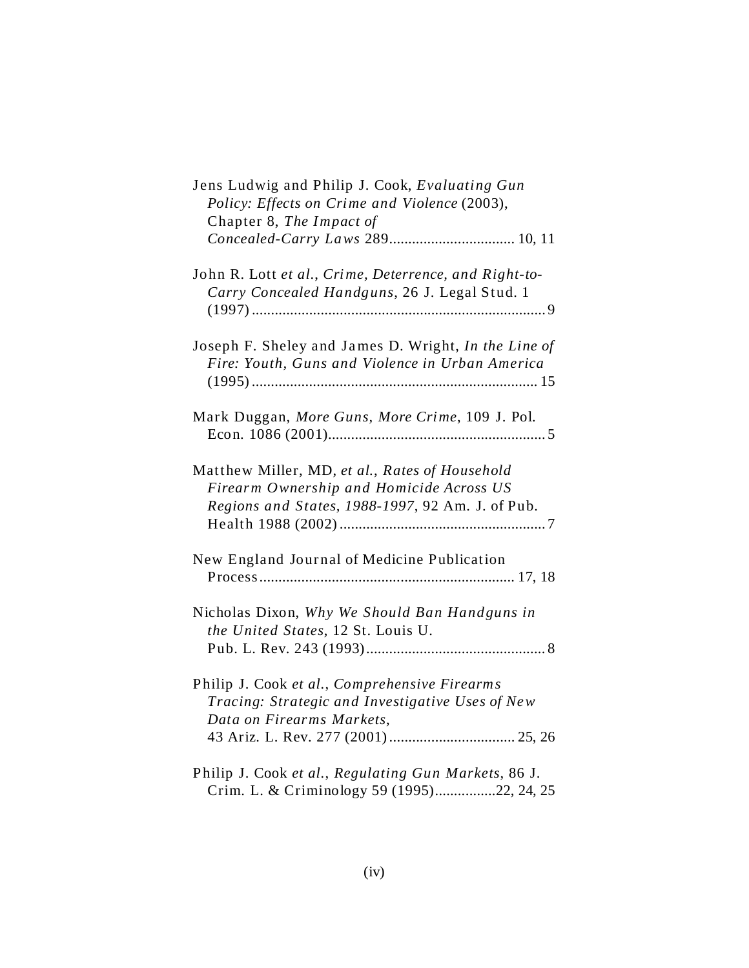| Jens Ludwig and Philip J. Cook, Evaluating Gun<br>Policy: Effects on Crime and Violence (2003),<br>Chapter 8, The Impact of<br>Concealed-Carry Laws 289 10, 11 |
|----------------------------------------------------------------------------------------------------------------------------------------------------------------|
| John R. Lott et al., Crime, Deterrence, and Right-to-<br>Carry Concealed Handguns, 26 J. Legal Stud. 1                                                         |
| Joseph F. Sheley and James D. Wright, In the Line of<br>Fire: Youth, Guns and Violence in Urban America                                                        |
| Mark Duggan, More Guns, More Crime, 109 J. Pol.                                                                                                                |
| Matthew Miller, MD, et al., Rates of Household<br>Firearm Ownership and Homicide Across US<br>Regions and States, 1988-1997, 92 Am. J. of Pub.                 |
| New England Journal of Medicine Publication                                                                                                                    |
| Nicholas Dixon, Why We Should Ban Handguns in<br>the United States, 12 St. Louis U.                                                                            |
| Philip J. Cook et al., Comprehensive Firearms<br>Tracing: Strategic and Investigative Uses of New<br>Data on Firearms Markets,                                 |
| Philip J. Cook et al., Regulating Gun Markets, 86 J.<br>Crim. L. & Criminology 59 (1995)22, 24, 25                                                             |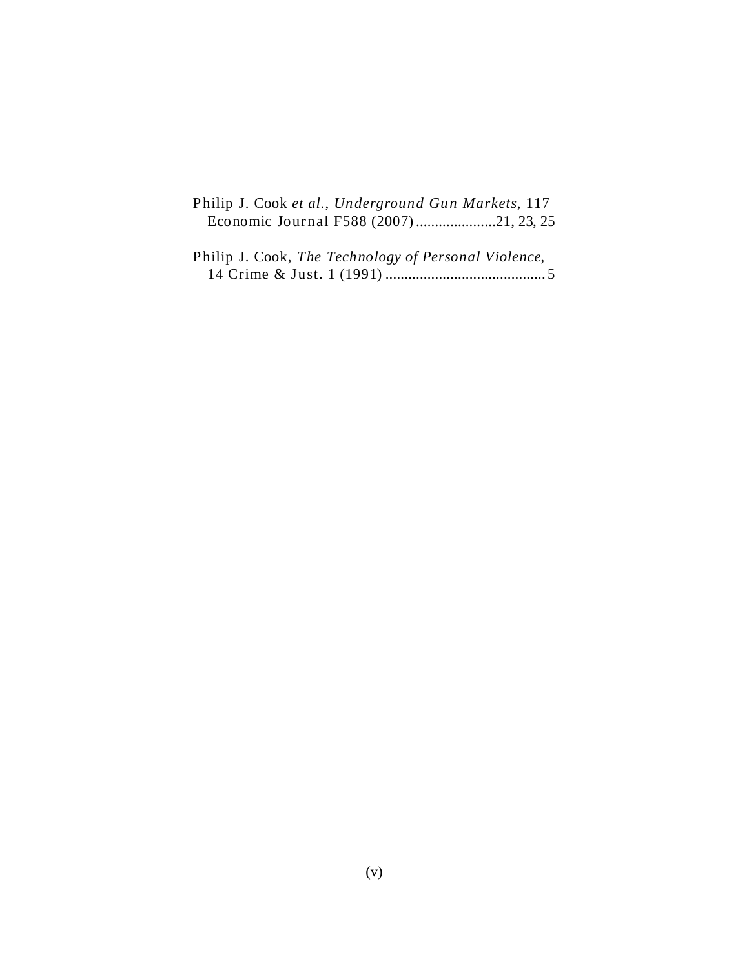| Philip J. Cook et al., Underground Gun Markets, 117 |  |  |
|-----------------------------------------------------|--|--|
|                                                     |  |  |

| Philip J. Cook, The Technology of Personal Violence, |
|------------------------------------------------------|
|                                                      |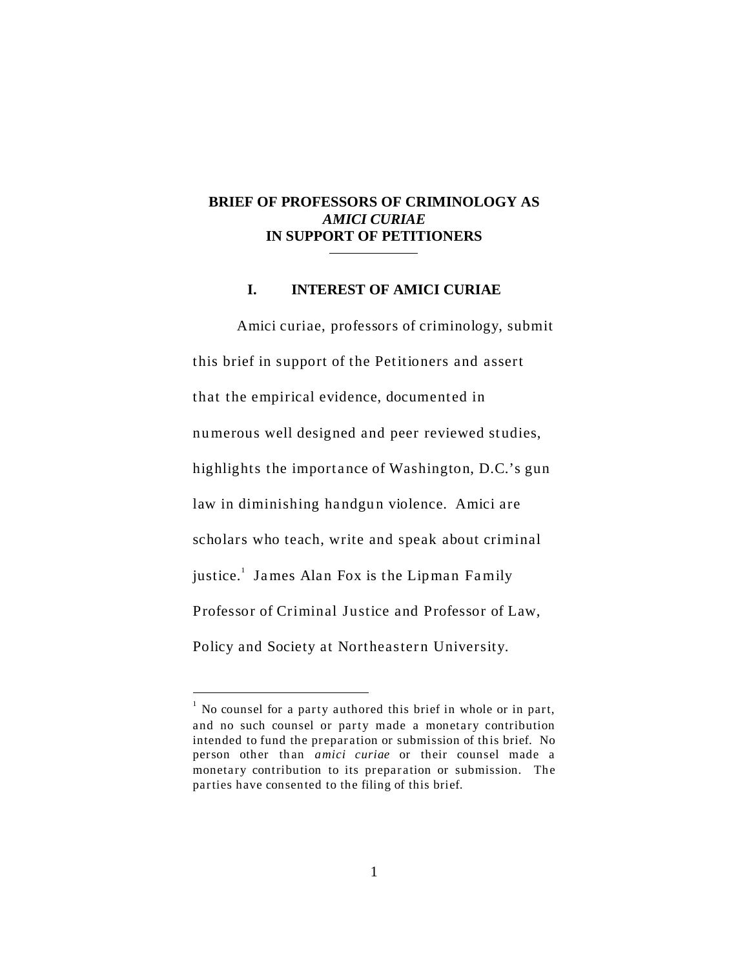#### **BRIEF OF PROFESSORS OF CRIMINOLOGY AS** *AMICI CURIAE* **IN SUPPORT OF PETITIONERS**

#### **I. INTEREST OF AMICI CURIAE**

 Amici curiae, professors of criminology, submit this brief in support of the Petitioners and assert that the empirical evidence, documented in numerous well designed and peer reviewed studies, highlights the importance of Washington, D.C.'s gun law in diminishing handgun violence. Amici are scholars who teach, write and speak about criminal justice.<sup>1</sup> James Alan Fox is the Lipman Family Professor of Criminal Justice and Professor of Law, Policy and Society at Northeastern University.

 $1$  No counsel for a party authored this brief in whole or in part, and no such counsel or party made a monetary contribution intended to fund the preparation or submission of this brief. No person other than *amici curiae* or their counsel made a monetary contribution to its preparation or submission. The parties have consented to the filing of this brief.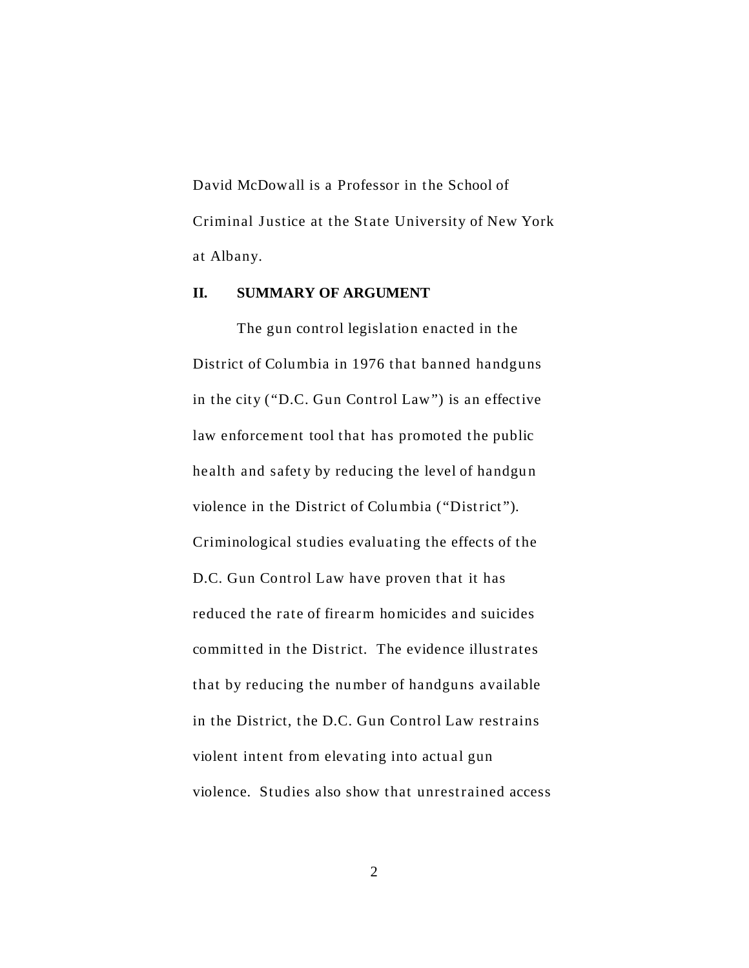David McDowall is a Professor in the School of Criminal Justice at the State University of New York at Albany.

#### **II. SUMMARY OF ARGUMENT**

The gun control legislation enacted in the District of Columbia in 1976 that banned handguns in the city ("D.C. Gun Control Law") is an effective law enforcement tool that has promoted the public health and safety by reducing the level of handgun violence in the District of Columbia ("District"). Criminological studies evaluating the effects of the D.C. Gun Control Law have proven that it has reduced the rate of firearm homicides and suicides committed in the District. The evidence illustrates that by reducing the number of handguns available in the District, the D.C. Gun Control Law restrains violent intent from elevating into actual gun violence. Studies also show that unrestrained access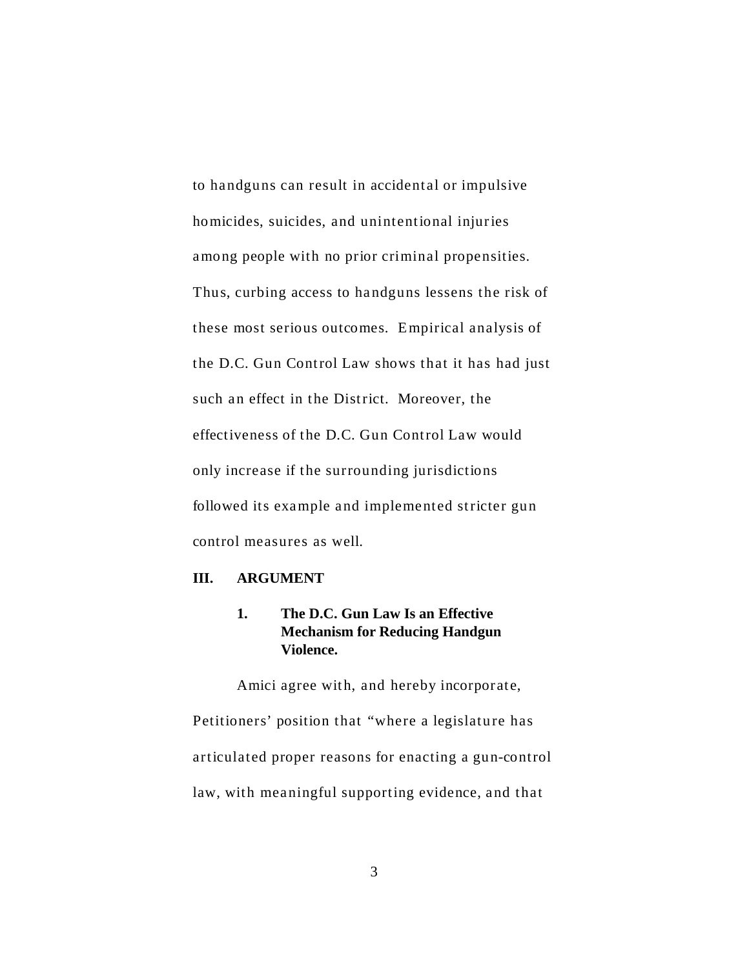to handguns can result in accidental or impulsive homicides, suicides, and unintentional injuries among people with no prior criminal propensities. Thus, curbing access to handguns lessens the risk of these most serious outcomes. E mpirical analysis of the D.C. Gun Control Law shows that it has had just such an effect in the District. Moreover, the effectiveness of the D.C. Gun Control Law would only increase if the surrounding jurisdictions followed its example and implemented stricter gun control measures as well.

#### **III. ARGUMENT**

#### **1. The D.C. Gun Law Is an Effective Mechanism for Reducing Handgun Violence.**

Amici agree with, and hereby incorporate, Petitioners' position that "where a legislature has articulated proper reasons for enacting a gun-control law, with meaningful supporting evidence, and that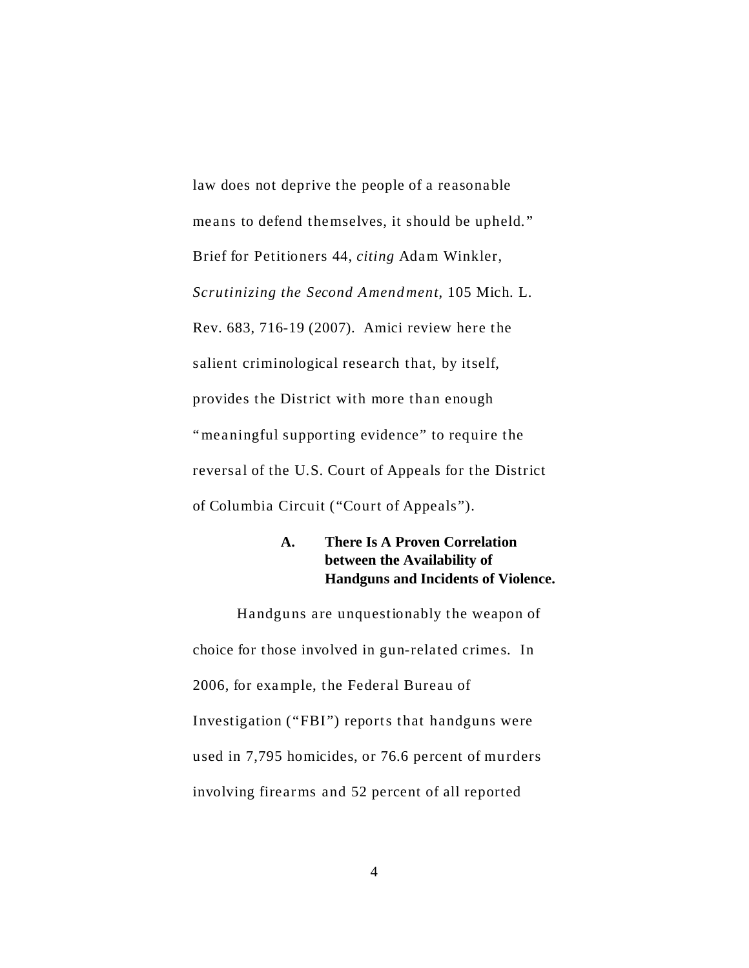law does not deprive the people of a reasonable means to defend themselves, it should be upheld." Brief for Petitioners 44, *citing* Adam Winkler, *Scrutinizing the Second A mend ment*, 105 Mich. L. Rev. 683, 716-19 (2007). Amici review here the salient criminological research that, by itself, provides the District with more than enough "meaningful supporting evidence" to require the reversal of the U.S. Court of Appeals for the District of Columbia Circuit ("Court of Appeals").

## **A. There Is A Proven Correlation between the Availability of Handguns and Incidents of Violence.**

Handguns are unquestionably the weapon of choice for those involved in gun-related crimes. In 2006, for exa mple, the Federal Bureau of Investigation ("FBI") reports that handguns were used in 7,795 homicides, or 76.6 percent of murders involving firearms and 52 percent of all reported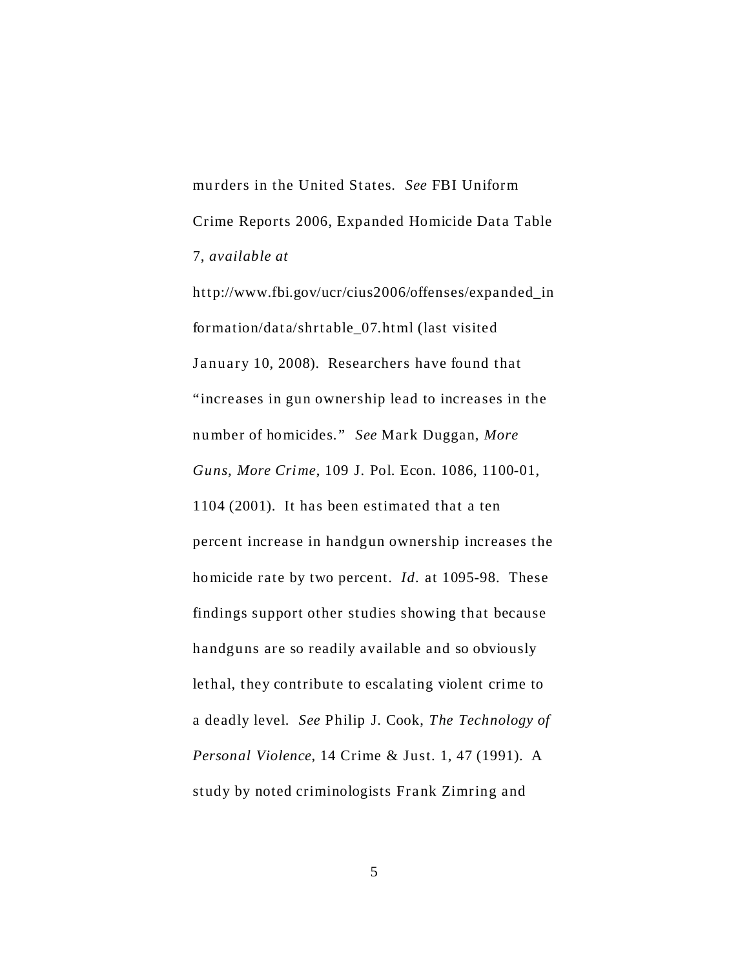murders in the United States. *See* FBI Uniform Crime Reports 2006, Expanded Homicide Data Table 7, *available at*

[http://www.fbi.gov/ucr/cius2006/offenses/expanded\\_in](http://www.fbi.gov/ucr/cius2006/offenses/expanded_in) formation/data/shrtable\_07.ht ml (last visited January 10, 2008). Researchers have found that "increases in gun ownership lead to increases in the nu mber of homicides." *See* Mark Duggan, *More Guns, More Crime*, 109 J. Pol. Econ. 1086, 1100-01, 1104 (2001). It has been estimated that a ten percent increase in handgun ownership increases the homicide rate by two percent. *Id.* at 1095-98. These findings support other studies showing that because handguns are so readily available and so obviously lethal, they contribute to escalating violent crime to a deadly level. *See* Philip J. Cook, *The Technology of Personal Violence*, 14 Crime & Just. 1, 47 (1991). A study by noted criminologists Frank Zimring and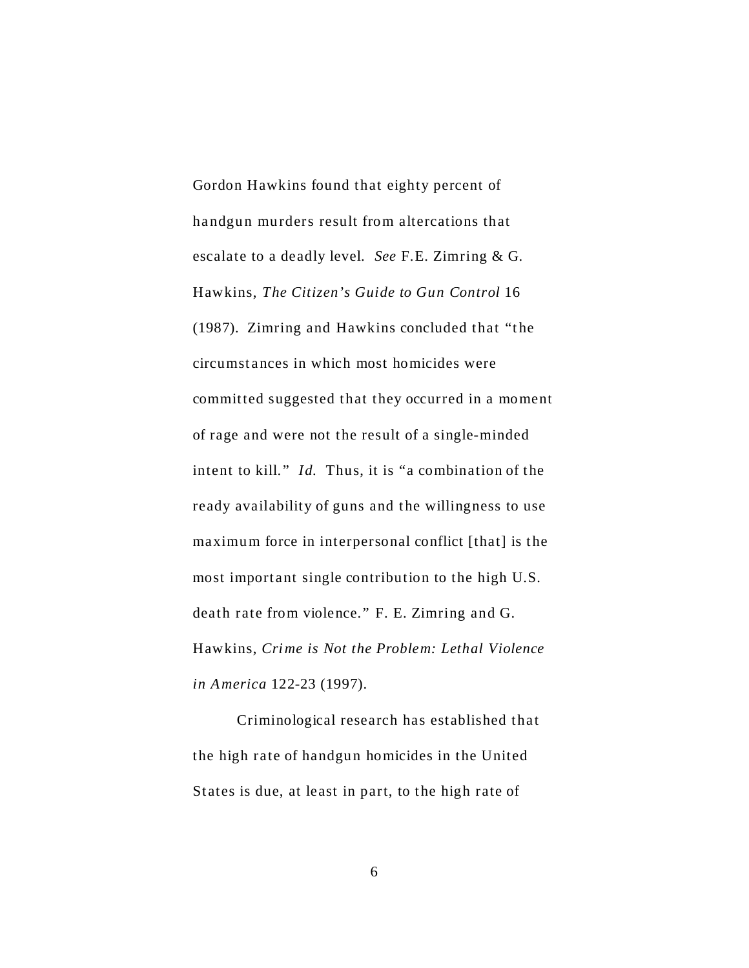Gordon Hawkins found that eighty percent of handgun murders result from altercations that escalate to a deadly level. *See* F.E. Zimring & G. Hawkins, *The Citizen's Guide to Gun Control* 16 (1987). Zimring and Hawkins concluded that "the circumst ances in which most homicides were committed suggested that they occurred in a moment of rage and were not the result of a single-minded intent to kill." *Id.* Thus, it is "a combination of the ready availability of guns and the willingness to use maximum force in interpersonal conflict [that] is the most important single contribution to the high U.S. death rate from violence." F. E. Zimring and G. Hawkins, *Crime is Not the Problem: Lethal Violence in America* 122-23 (1997).

Criminological research has established that the high rate of handgun homicides in the United States is due, at least in part, to the high rate of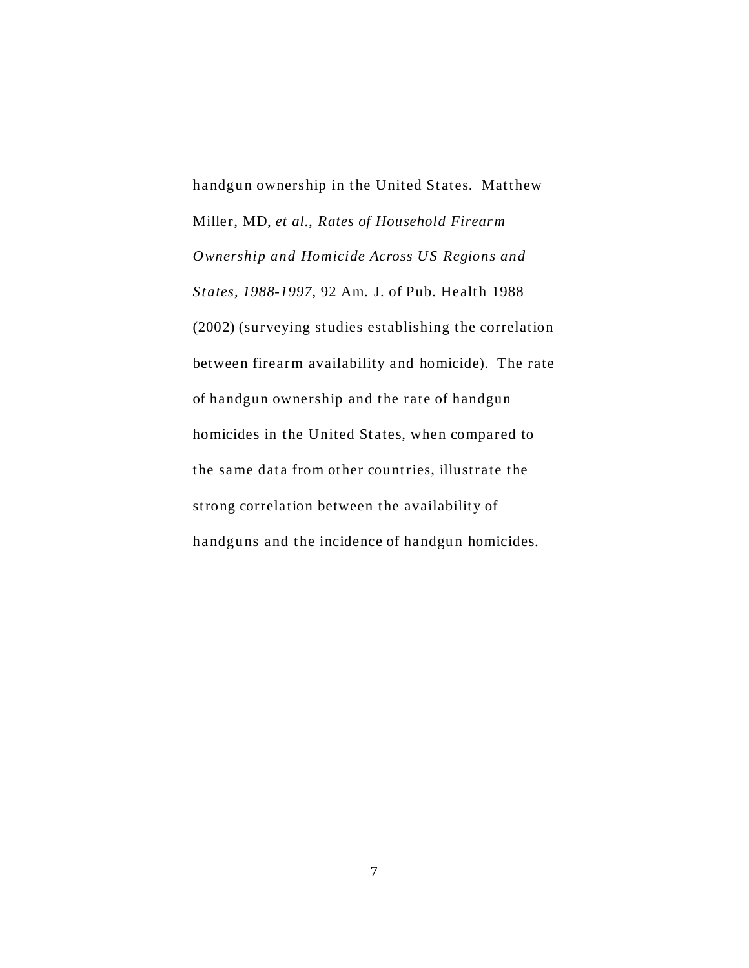handgun ownership in the United States. Matthew Miller, MD, *et al.*, *Rates of Household Firearm Ownership and Homicide Across US Regions and States, 1988-1997*, 92 Am. J. of Pub. Health 1988 (2002) (surveying studies establishing the correlation between firearm availability and homicide). The rate of handgun ownership and the rate of handgun homicides in the United States, when compared to the same data from ot her countries, illustrate the strong correlation between the availability of handguns and the incidence of handgun homicides.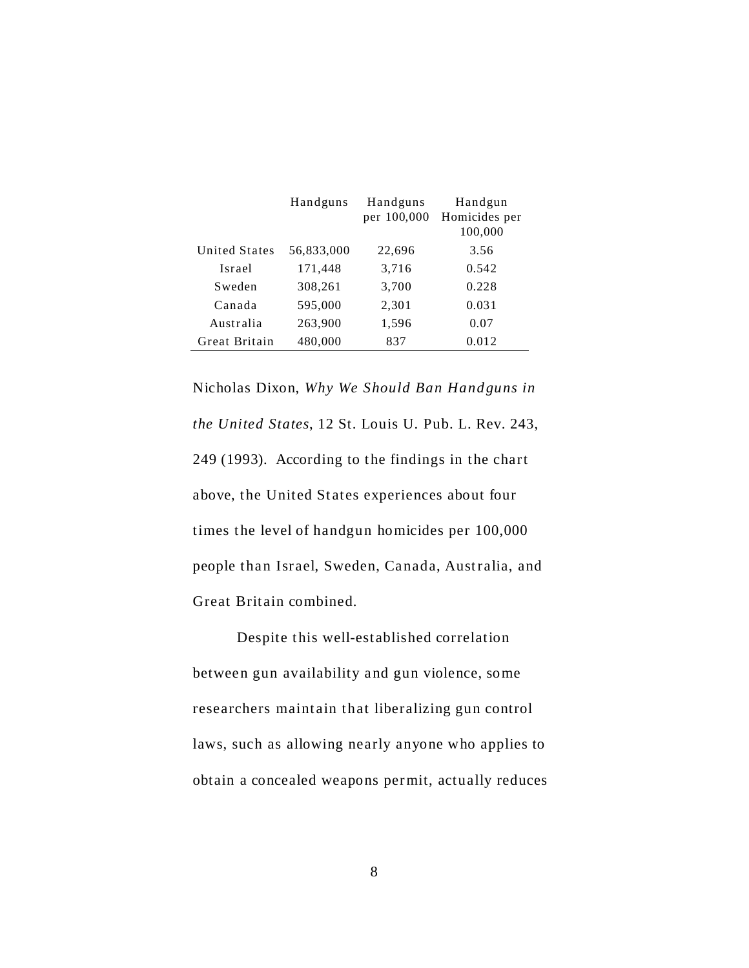|                      | Handguns   | Handguns    | Handgun       |
|----------------------|------------|-------------|---------------|
|                      |            | per 100,000 | Homicides per |
|                      |            |             | 100,000       |
| <b>United States</b> | 56,833,000 | 22,696      | 3.56          |
| Israel               | 171,448    | 3,716       | 0.542         |
| Sweden               | 308,261    | 3,700       | 0.228         |
| Canada               | 595,000    | 2,301       | 0.031         |
| Australia            | 263,900    | 1,596       | 0.07          |
| Great Britain        | 480,000    | 837         | 0.012         |

Nicholas Dixon, *Why We Should Ban Handguns in the United States*, 12 St. Louis U. Pub. L. Rev. 243, 249 (1993). According to the findings in the chart above, the United States experiences about four times the level of handgun homicides per 100,000 people than Israel, Sweden, Canada, Australia, and Great Britain combined.

Despite this well-established correlation between gun availability and gun violence, some researchers maintain that liberalizing gun control laws, such as allowing nearly anyone who applies to obtain a concealed weapons per mit, actually reduces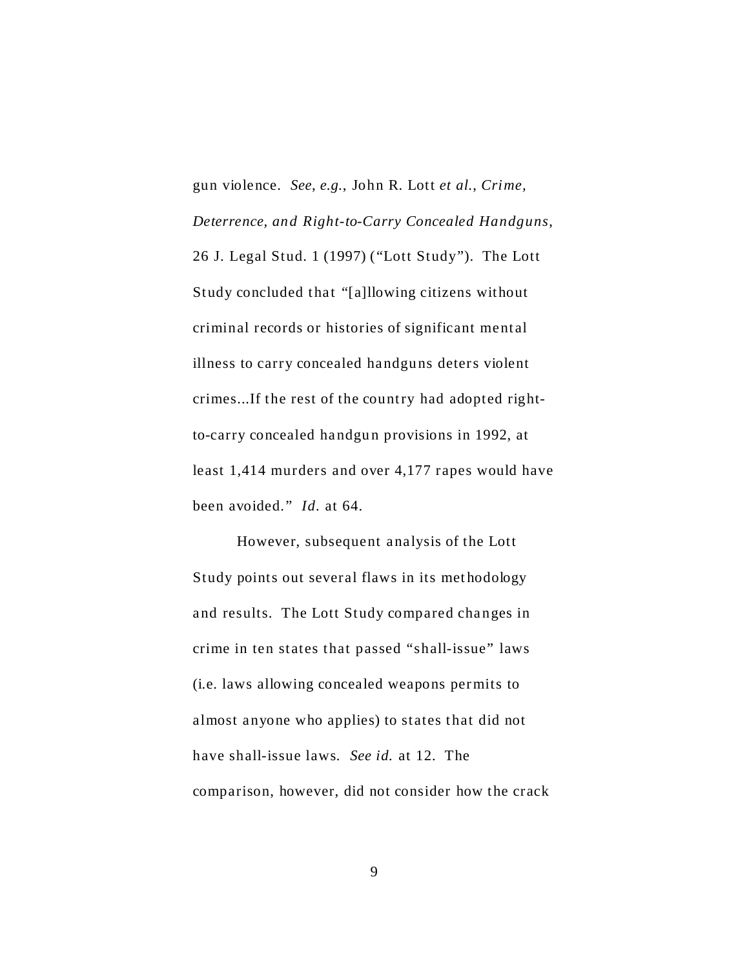gun violence. *See*, *e.g.*, John R. Lott *et al.*, *Crime, Deterrence, and Right-to-Carry Concealed Handguns*, 26 J. Legal Stud. 1 (1997) ("Lott Study"). The Lott Study concluded that "[a]llowing citizens without criminal records or histories of significant mental illness to carry concealed handguns deters violent crimes...If the rest of the country had adopted rightto-carry concealed handgun provisions in 1992, at least 1,414 murders and over 4,177 rapes would have been avoided." *Id.* at 64.

However, subsequent analysis of the Lott Study points out several flaws in its met hodology and results. The Lott Study compared changes in crime in ten states that passed "shall-issue" laws (i.e. laws allowing concealed weapons per mits to almost anyone who applies) to states that did not have shall-issue laws. *See id.* at 12. The comparison, however, did not consider how the crack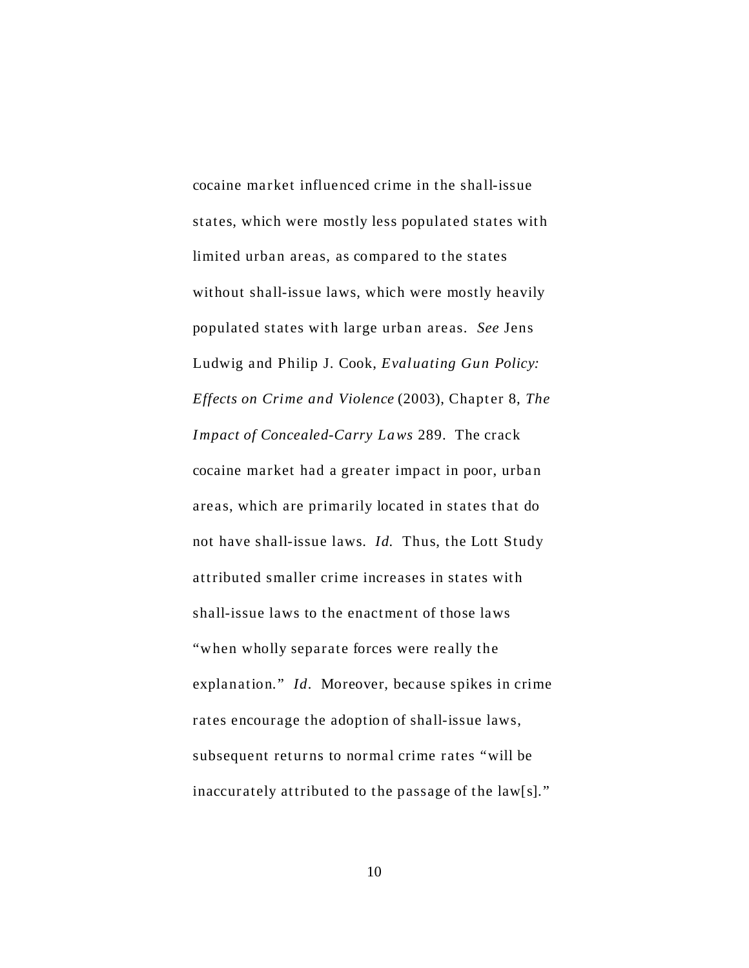cocaine market influenced crime in the shall-issue states, which were mostly less populated states with limited urban areas, as compared to the states without shall-issue laws, which were mostly heavily populated states with large urban areas. *See* Jens Ludwig and Philip J. Cook, *Evaluating Gun Policy: Effects on Crime and Violence* (2003), Chapter 8, *The Impact of Concealed-Carry Laws* 289. The crack cocaine market had a greater impact in poor, urban areas, which are primarily located in states that do not have shall-issue laws. *Id.* Thus, the Lott Study attributed smaller crime increases in states with shall-issue laws to the enactment of those laws "when wholly separate forces were really the explanation." *Id.* Moreover, because spikes in crime rates encourage the adoption of shall-issue laws, subsequent returns to normal crime rates "will be inaccurately attributed to the passage of the law[s]."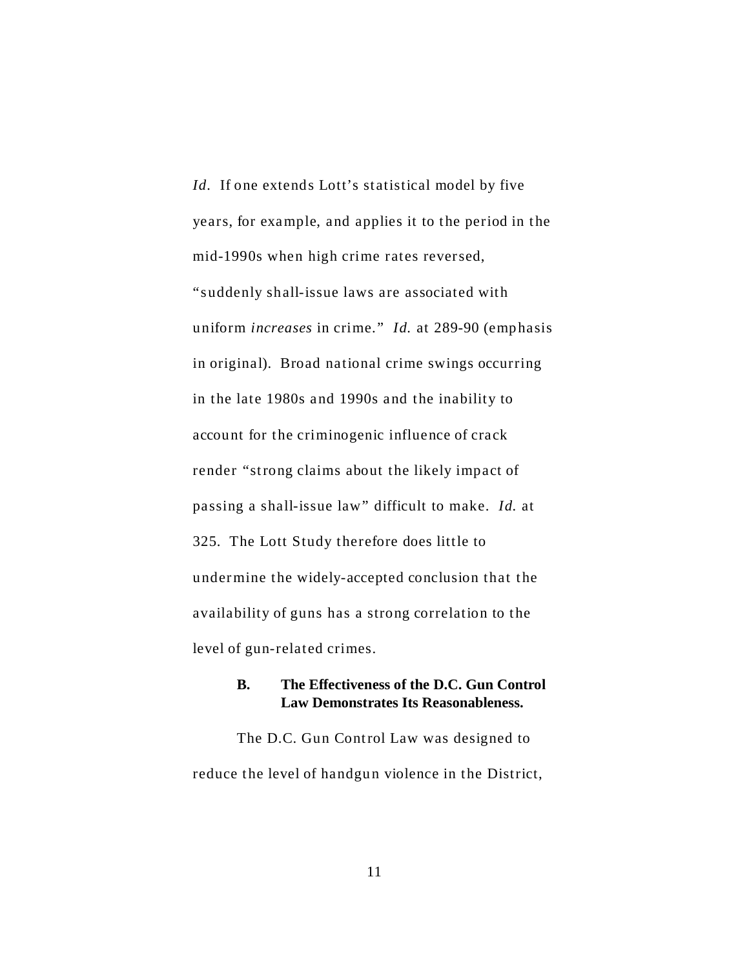*Id.* If one extends Lott's statistical model by five years, for example, and applies it to the period in the mid-1990s when high crime rates reversed, "suddenly shall-issue laws are associated with uniform *increases* in crime." *Id.* at 289-90 (emphasis in original). Broad national crime swings occurring in the late 1980s and 1990s and the inability to account for the criminogenic influence of crack render "strong claims about the likely impact of passing a shall-issue law" difficult to make. *Id.* at 325. The Lott Study therefore does little to under mine the widely-accepted conclusion that the availability of guns has a strong correlation to the level of gun-related crimes.

#### **B. The Effectiveness of the D.C. Gun Control Law Demonstrates Its Reasonableness.**

The D.C. Gun Control Law was designed to reduce the level of handgun violence in the District,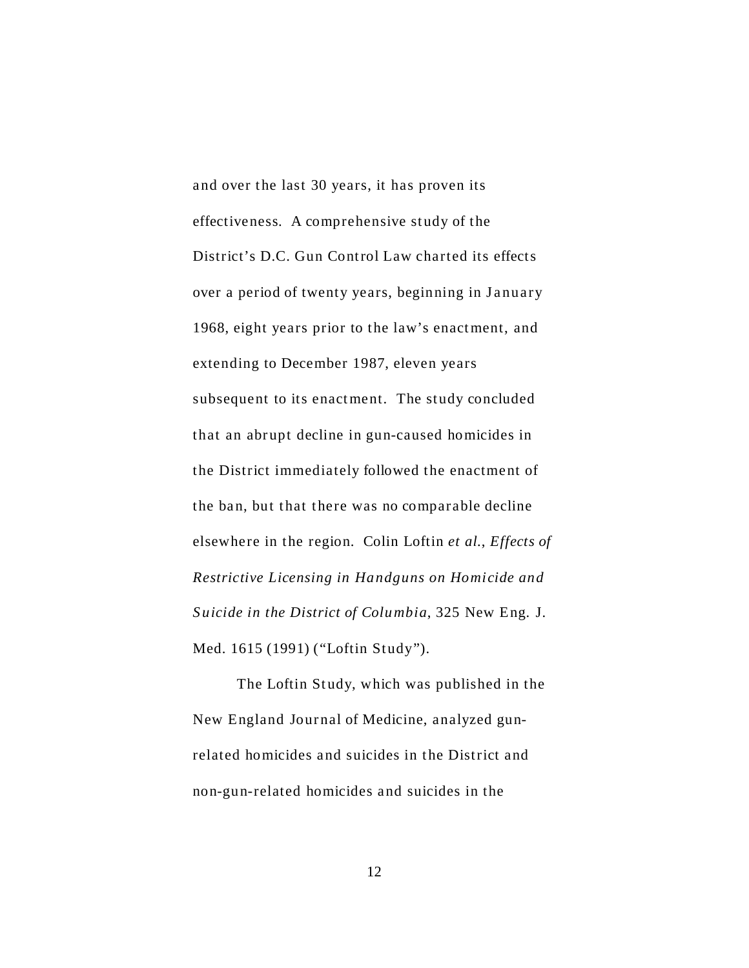and over the last 30 years, it has proven its effectiveness. A comprehensive study of the District's D.C. Gun Control Law charted its effects over a period of twenty years, beginning in January 1968, eight years prior to the law's enact ment, and extending to December 1987, eleven years subsequent to its enact ment. The study concluded that an abrupt decline in gun-caused homicides in the District immediately followed the enactment of the ban, but that there was no comparable decline elsewhere in the region. Colin Loftin *et al.*, *Effects of Restrictive Licensing in Handguns on Homicide and S uicide in the District of Columbia*, 325 New Eng. J. Med. 1615 (1991) ("Loftin Study").

The Loftin Study, which was published in the New England Jour nal of Medicine, analyzed gunrelated homicides and suicides in the District and non-gun-related homicides and suicides in the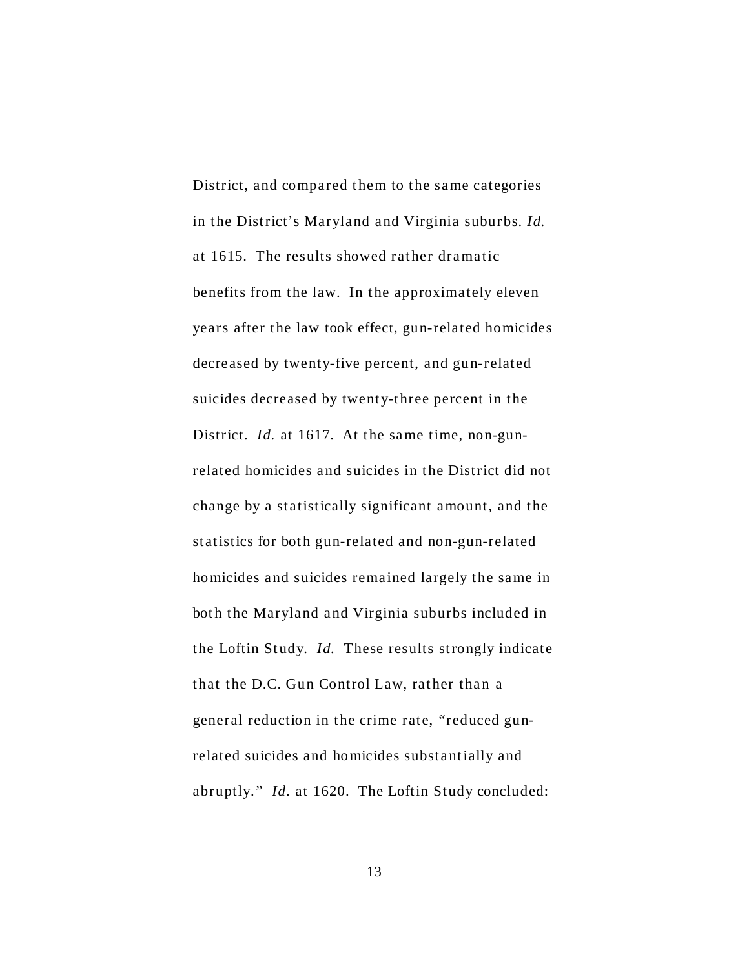District, and compared them to the same categories in the District's Maryland and Virginia suburbs. *Id.* at 1615. The results showed rather dramatic benefits from the law. In the approximately eleven years after the law took effect, gun-related homicides decreased by twenty-five percent, and gun-related suicides decreased by twenty-three percent in the District. *Id.* at 1617. At the same time, non-gunrelated homicides and suicides in the District did not change by a statistically significant amount, and the statistics for both gun-related and non-gun-related homicides and suicides remained largely the same in both the Maryland and Virginia suburbs included in the Loftin Study. *Id.* These results strongly indicate that the D.C. Gun Control Law, rather than a general reduction in the crime rate, "reduced gunrelated suicides and homicides substantially and abruptly." *Id.* at 1620. The Loftin Study concluded: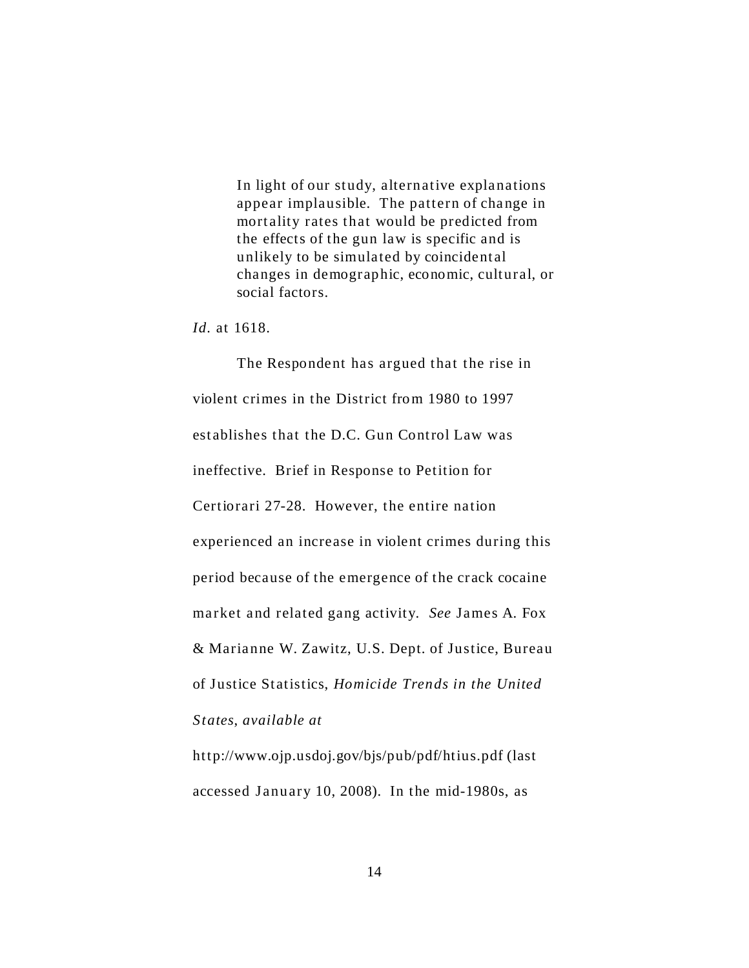In light of our study, alternative explanations appear implausible. The pattern of change in mortality rates that would be predicted from the effects of the gun law is specific and is unlikely to be simulated by coincidental changes in demographic, economic, cultural, or social factors.

*Id.* at 1618.

The Respondent has argued that the rise in violent crimes in the District from 1980 to 1997 establishes that the D.C. Gun Control Law was ineffective. Brief in Response to Petition for Certiorari 27-28. However, the entire nation experienced an increase in violent crimes during this period because of the emergence of the crack cocaine market and related gang activity. *See* James A. Fox & Marianne W. Zawitz, U.S. Dept. of Justice, Bureau of Justice Statistics, *Homicide Trends in the United States*, *available at*

<http://www.ojp.usdoj.gov/bjs/pub/pdf/htius.pdf>(last accessed January 10, 2008). In the mid-1980s, as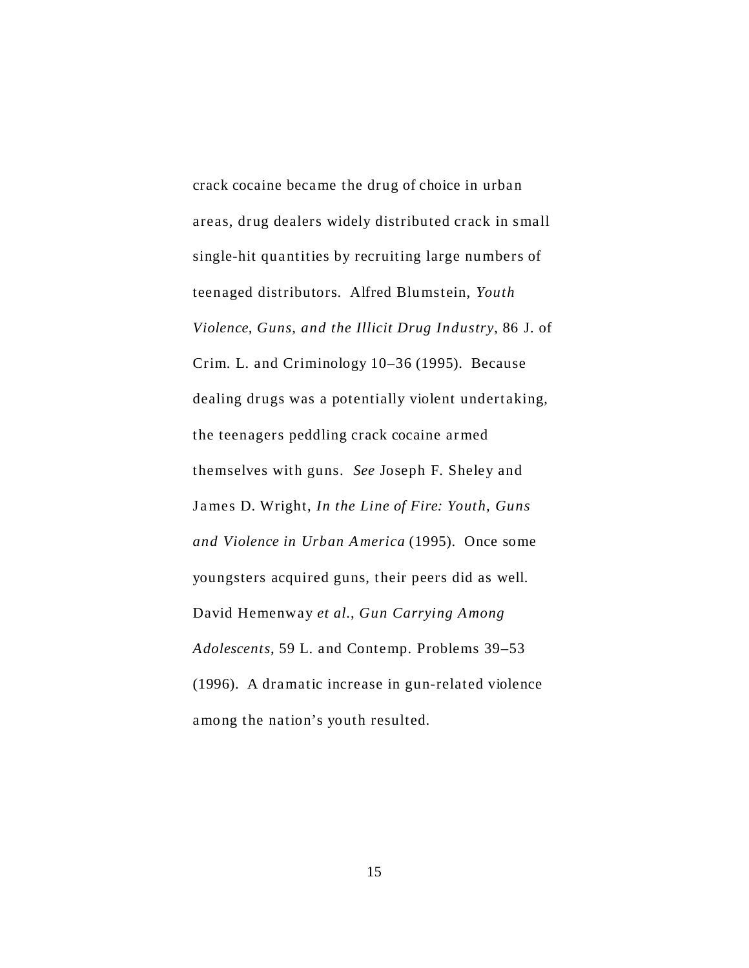crack cocaine became the drug of choice in urban areas, drug dealers widely distributed crack in small single-hit quantities by recruiting large numbers of teenaged distributors. Alfred Blu mstein, *Youth Violence, Guns, and the Illicit Drug Industry*, 86 J. of Crim. L. and Criminology 10–36 (1995). Because dealing drugs was a potentially violent undertaking, the teenagers peddling crack cocaine ar med themselves with guns. *See* Joseph F. Sheley and James D. Wright, *In the Line of Fire: Youth, Guns and Violence in Urban America* (1995). Once some youngsters acquired guns, their peers did as well. David Hemenway *et al.*, *Gun Carrying Among Adolescents*, 59 L. and Contemp. Problems 39–53 (1996). A dramatic increase in gun-related violence among the nation's youth resulted.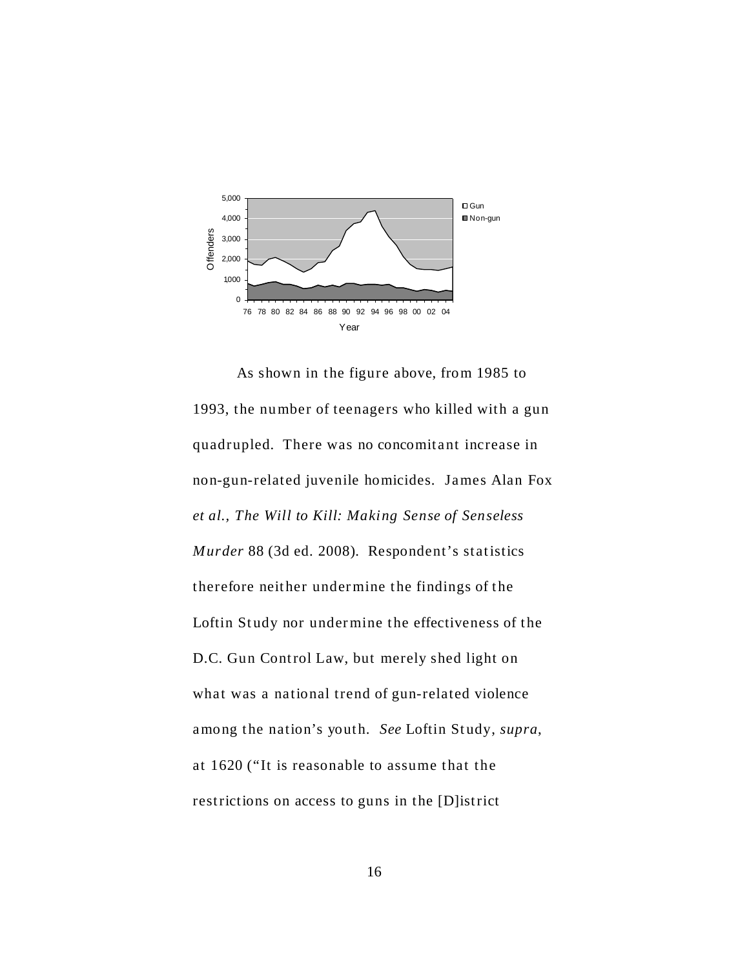

As shown in the figure above, from 1985 to 1993, the number of teenagers who killed with a gun quadrupled. There was no concomitant increase in non-gun-related juvenile homicides. James Alan Fox *et al., The Will to Kill: Making Sense of Senseless Murder* 88 (3d ed. 2008). Respondent's statistics therefore neither under mine the findings of the Loftin Study nor undermine the effectiveness of the D.C. Gun Control Law, but merely shed light on what was a national trend of gun-related violence among the nation's youth. *See* Loftin Study, *supra*, at 1620 ("It is reasonable to assume that the restrictions on access to guns in the [D]istrict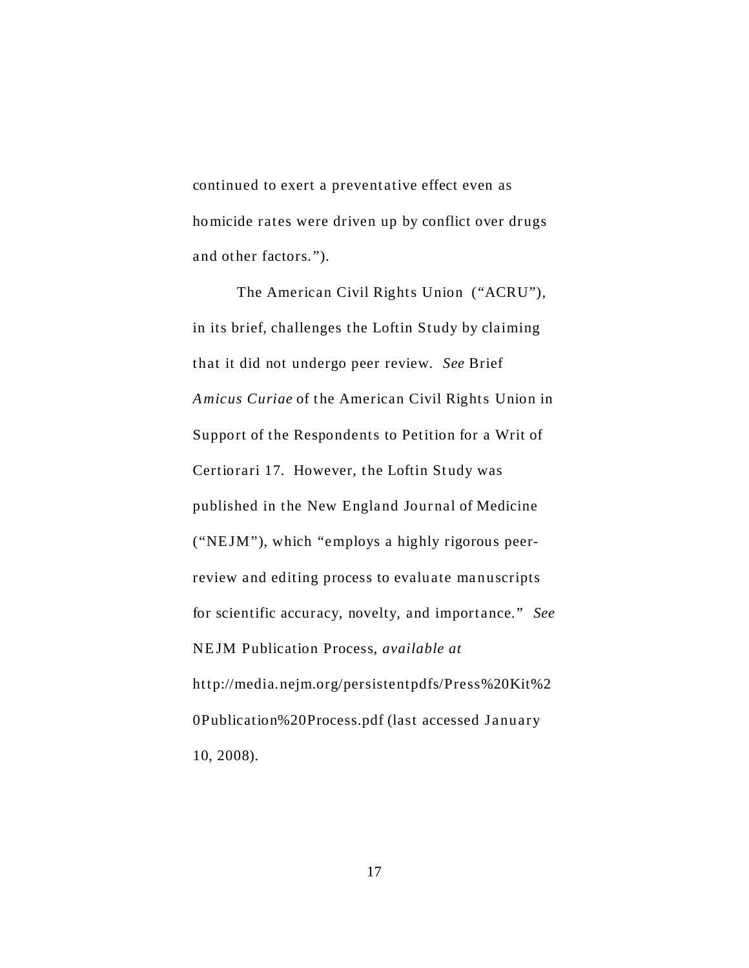continued to exert a preventative effect even as homicide rates were driven up by conflict over drugs and other factors.").

The American Civil Rights Union ("ACRU"), in its brief, challenges the Loftin Study by claiming that it did not undergo peer review. *See* Brief Amicus Curiae of the American Civil Rights Union in Support of the Respondents to Petition for a Writ of Certiorari 17. However, the Loftin Study was published in the New England Journal of Medicine ("NE JM"), which "employs a highly rigorous peerreview and editing process to evaluate manuscripts for scientific accuracy, novelty, and importance." *See* NE JM Publication Process, *available at* <http://media.nejm.org/persistentpdfs/Press%20Kit%2> 0Publication%20Process.pdf (last accessed January 10, 2008).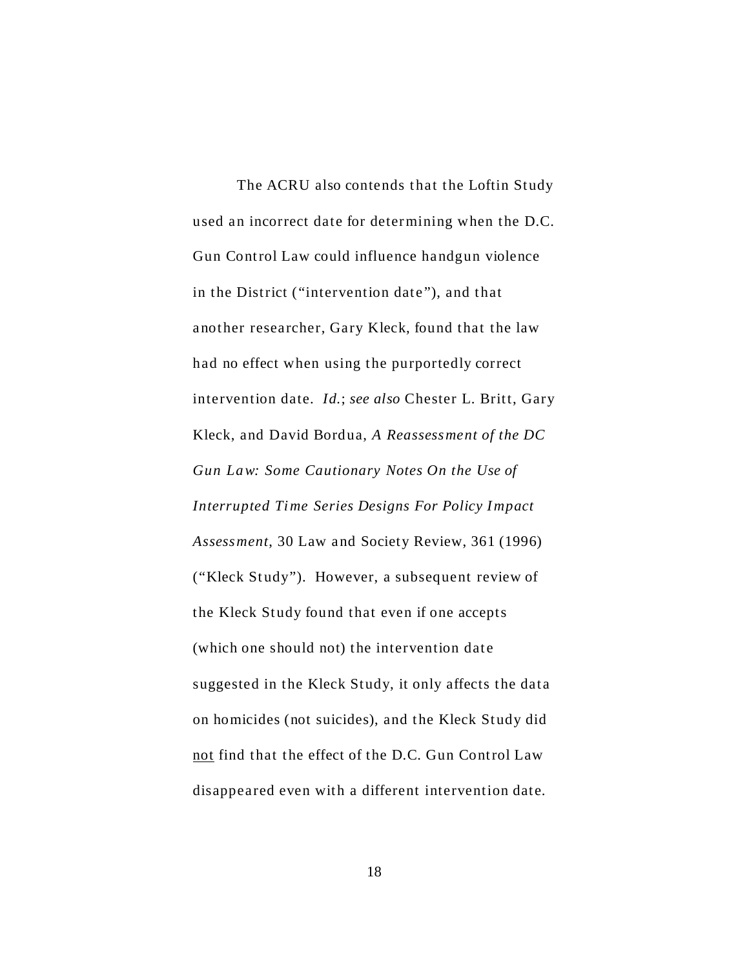The ACRU also contends that the Loftin Study used an incorrect date for deter mining when the D.C. Gun Control Law could influence handgun violence in the District ("intervention date"), and that another researcher, Gary Kleck, found that the law had no effect when using the purportedly correct intervention date. *Id.*; *see also* Chester L. Britt, Gary Kleck, and David Bordua, *A Reassessment of the DC Gun Law: Some Cautionary Notes On the Use of Interrupted Time Series Designs For Policy Impact Assessment*, 30 Law and Society Review, 361 (1996) ("Kleck Study"). However, a subsequent review of the Kleck Study found that even if one accepts (which one should not) the intervention date suggested in the Kleck Study, it only affects the data on homicides (not suicides), and the Kleck Study did not find that the effect of the D.C. Gun Control Law disappeared even with a different intervention date.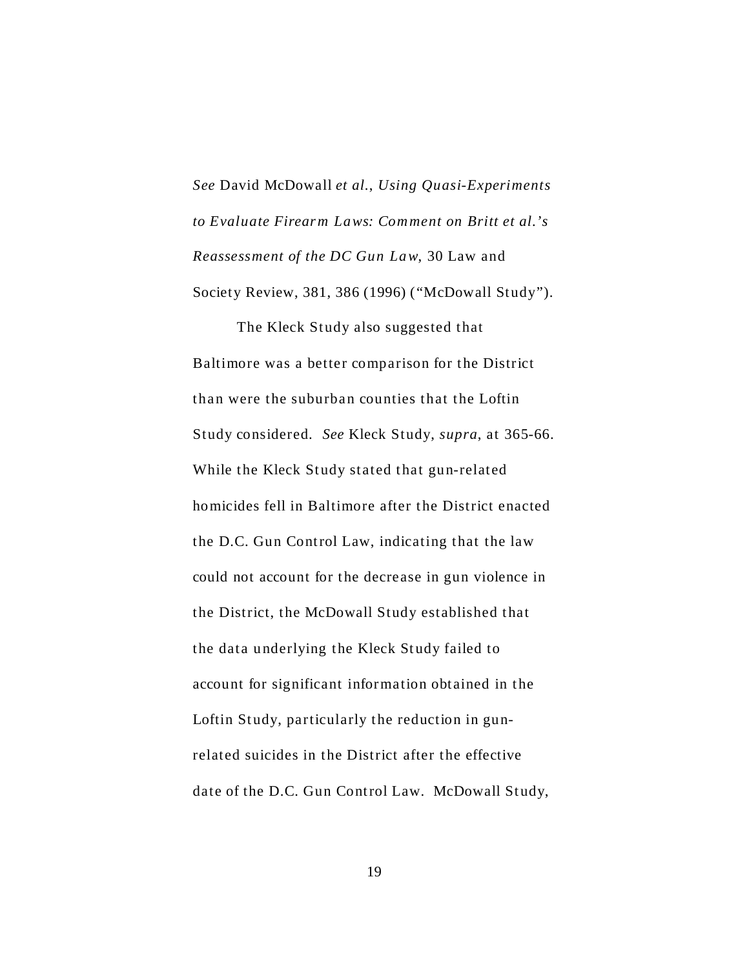*See* David McDowall *et al.*, *Using Quasi-Experiments to Evaluate Firearm Laws: Comment on Britt et al.'s Reassessment of the DC Gun Law*, 30 Law and Society Review, 381, 386 (1996) ("McDowall Study").

The Kleck Study also suggested that Baltimore was a better comparison for the District than were the suburban counties that the Loftin Study considered. *See* Kleck Study, *supra*, at 365-66. While the Kleck Study stated that gun-related homicides fell in Baltimore after the District enacted the D.C. Gun Control Law, indicating that the law could not account for the decrease in gun violence in the District, the McDowall Study established that the data underlying the Kleck Study failed to account for significant information obtained in the Loftin Study, particularly the reduction in gunrelated suicides in the District after the effective date of the D.C. Gun Control Law. McDowall Study,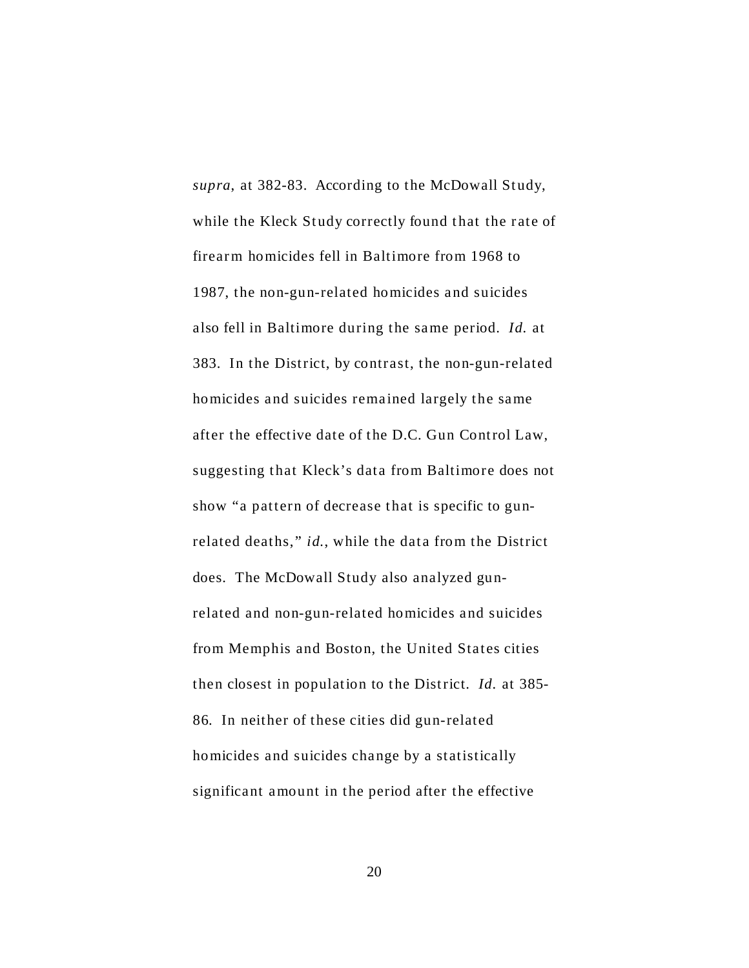*supra*, at 382-83. According to the McDowall Study, while the Kleck Study correctly found that the rate of firear m homicides fell in Baltimore from 1968 to 1987, the non-gun-related homicides and suicides also fell in Baltimore during the same period. *Id.* at 383. In the District, by contrast, the non-gun-related homicides and suicides remained largely the same after the effective date of the D.C. Gun Control Law, suggesting that Kleck's data from Baltimore does not show "a pattern of decrease that is specific to gunrelated deaths," *id.*, while the data from the District does. The McDowall Study also analyzed gunrelated and non-gun-related homicides and suicides from Memphis and Boston, the United States cities then closest in population to the District. *Id.* at 385- 86. In neither of these cities did gun-related homicides and suicides change by a statistically significant amount in the period after the effective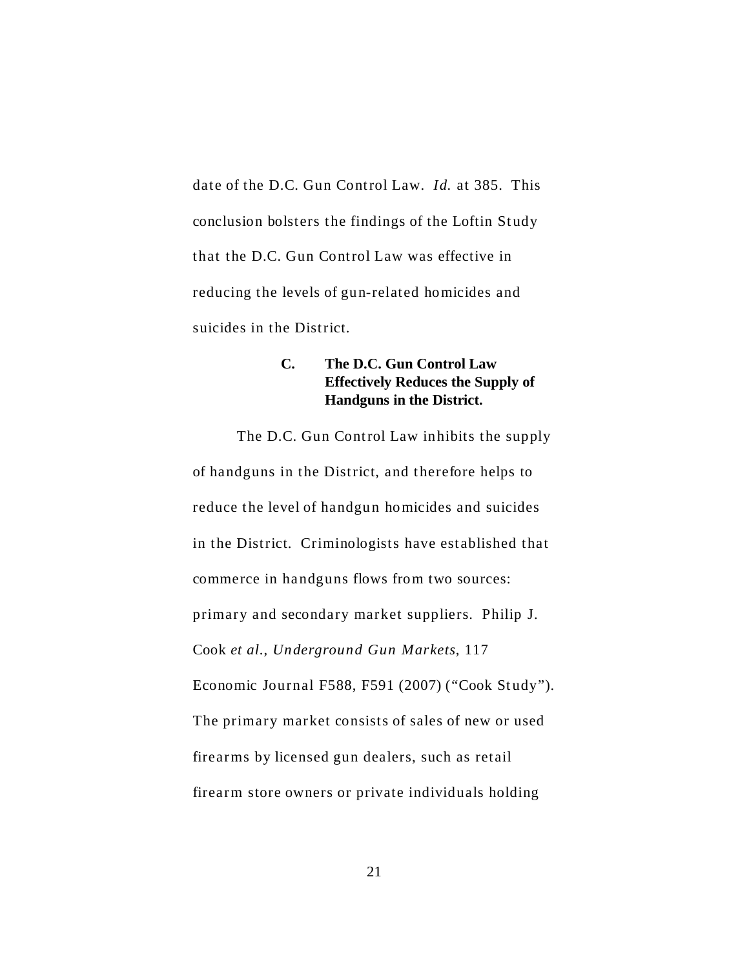date of the D.C. Gun Control Law. *Id.* at 385. This conclusion bolsters the findings of the Loftin Study that the D.C. Gun Control Law was effective in reducing the levels of gun-related homicides and suicides in the District.

# **C. The D.C. Gun Control Law Effectively Reduces the Supply of Handguns in the District.**

The D.C. Gun Control Law inhibits the supply of handguns in the District, and therefore helps to reduce the level of handgun homicides and suicides in the District. Criminologists have est ablished that commerce in handguns flows from two sources: primary and secondary market suppliers. Philip J. Cook *et al.*, *Underground Gun Markets*, 117 Economic Journal F588, F591 (2007) ("Cook Study"). The primary market consists of sales of new or used firear ms by licensed gun dealers, such as retail firearm store owners or private individuals holding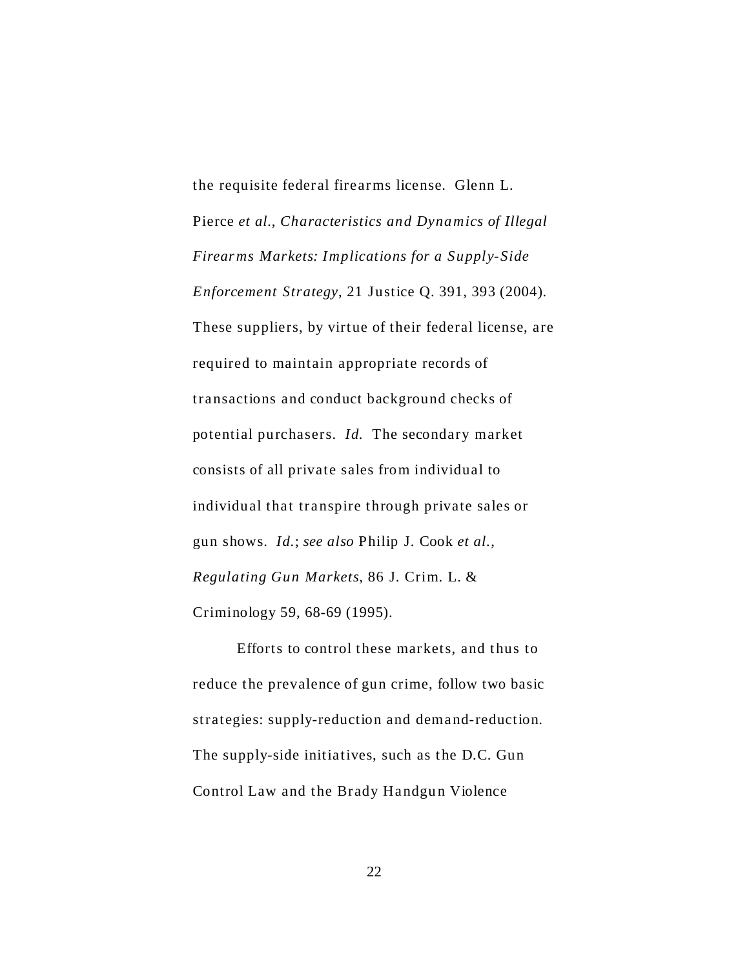the requisite federal firear ms license. Glenn L. Pierce *et al.*, *Characteristics and Dynamics of Illegal Firear ms Markets: Implications for a Supply-Side Enforcement Strategy*, 21 Justice Q. 391, 393 (2004). These suppliers, by virtue of their federal license, are required to maintain appropriate records of transactions and conduct background checks of potential purchasers. *Id.* The secondary market consists of all private sales from individual to individual that transpire through private sales or gun shows. *Id.*; *see also* Philip J. Cook *et al.*, *Regulating Gun Markets*, 86 J. Crim. L. & Criminology 59, 68-69 (1995).

 Efforts to control these markets, and thus to reduce the prevalence of gun crime, follow two basic strategies: supply-reduction and demand-reduction. The supply-side initiatives, such as the D.C. Gun Control Law and the Brady Handgun Violence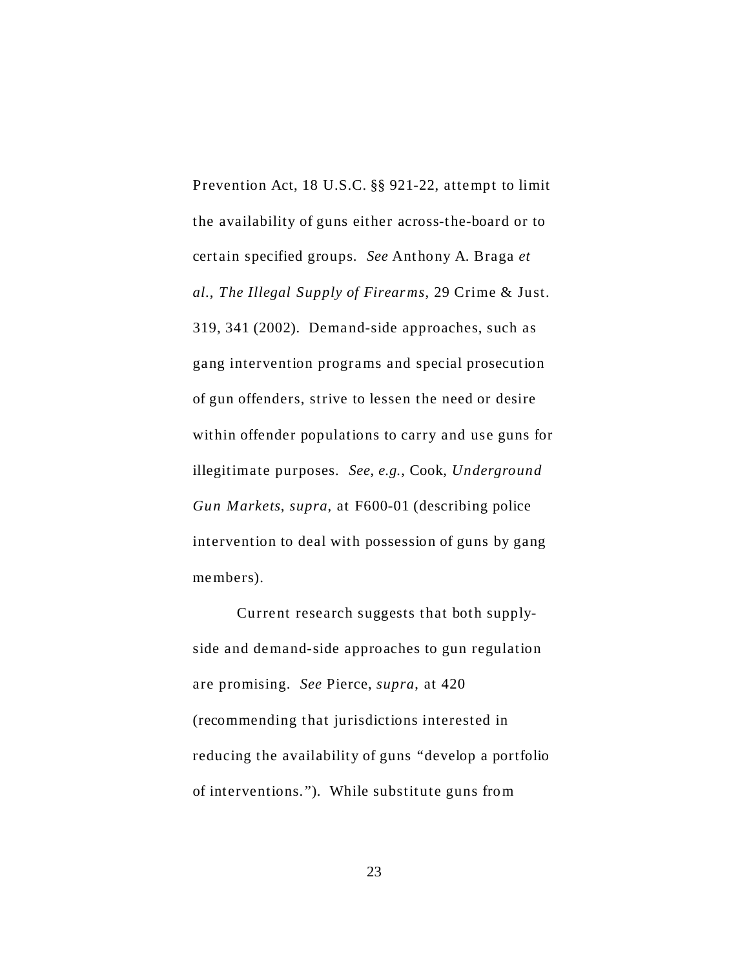Prevention Act, 18 U.S.C. §§ 921-22, attempt to limit the availability of guns either across-the-board or to cert ain specified groups. *See* Ant hony A. Braga *et al.*, *The Illegal Supply of Firearms*, 29 Crime & Just. 319, 341 (2002). Demand-side approaches, such as gang intervention programs and special prosecution of gun offenders, strive to lessen the need or desire within offender populations to carry and use guns for illegitimate purposes. *See*, *e.g.*, Cook, *Underground Gun Markets*, *supra*, at F600-01 (describing police intervention to deal with possession of guns by gang members).

Current research suggests that both supplyside and demand-side approaches to gun regulation are promising. *See* Pierce, *supra*, at 420 (recommending that jurisdictions interested in reducing the availability of guns "develop a portfolio of interventions."). While substitute guns from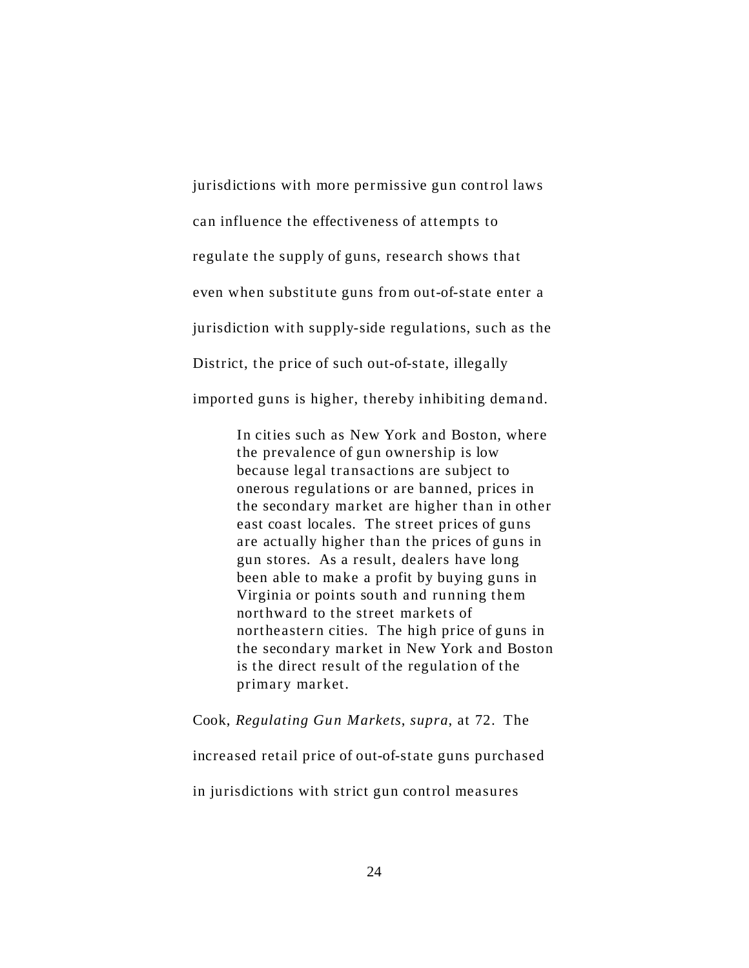jurisdictions with more permissive gun control laws can influence the effectiveness of attempts to regulate the supply of guns, research shows that even when substitute guns from out-of-state enter a jurisdiction with supply-side regulations, such as the District, the price of such out-of-state, illegally imported guns is higher, thereby inhibiting demand.

> In cities such as New York and Boston, where the prevalence of gun ownership is low because legal transactions are subject to onerous regulations or are banned, prices in the secondary market are higher than in other east coast locales. The street prices of guns are actually higher than the prices of guns in gun stores. As a result, dealers have long been able to make a profit by buying guns in Virginia or points south and running them northward to the street markets of northeastern cities. The high price of guns in the secondary market in New York and Boston is the direct result of the regulation of the primary market.

#### Cook, *Regulating Gun Markets*, *supra*, at 72. The

increased retail price of out-of-state guns purchased

in jurisdictions with strict gun control measures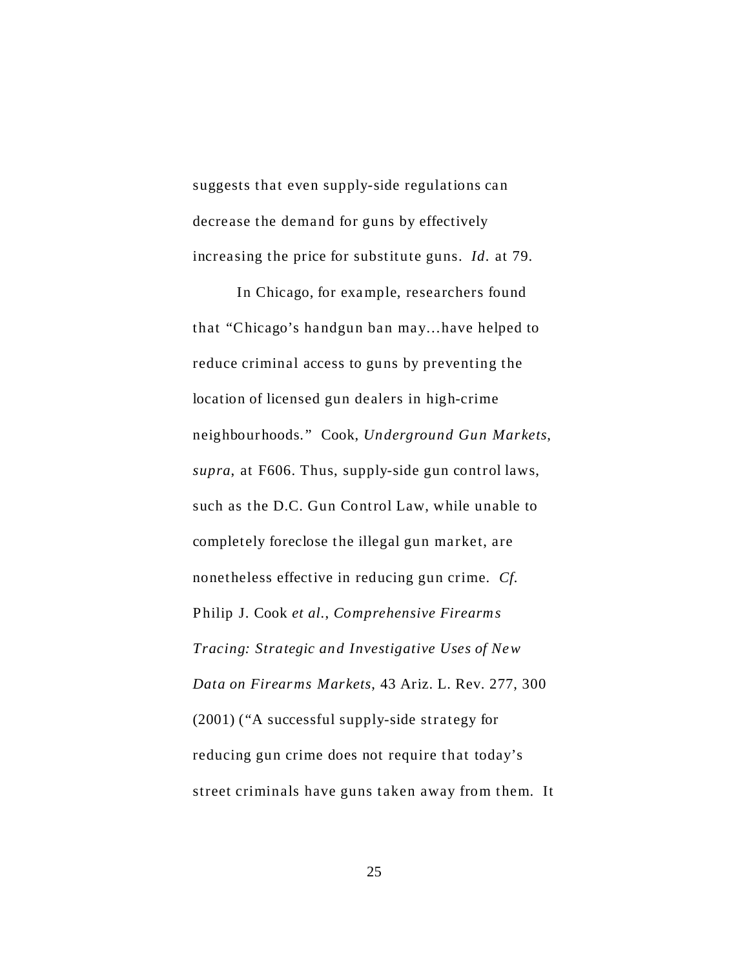suggests that even supply-side regulations can decrease the demand for guns by effectively increasing the price for substitute guns. *Id.* at 79.

In Chicago, for example, researchers found that "Chicago's handgun ban may…have helped to reduce criminal access to guns by preventing the location of licensed gun dealers in high-crime neighbour hoods." Cook, *Underground Gun Markets*, *supra*, at F606. Thus, supply-side gun control laws, such as the D.C. Gun Control Law, while unable to completely foreclose the illegal gun market, are nonetheless effective in reducing gun crime. *Cf.* Philip J. Cook *et al.*, *Comprehensive Firearms Tracing: Strategic and Investigative Uses of New Data on Firearms Markets*, 43 Ariz. L. Rev. 277, 300 (2001) ("A successful supply-side strategy for reducing gun crime does not require that today's street criminals have guns taken away from them. It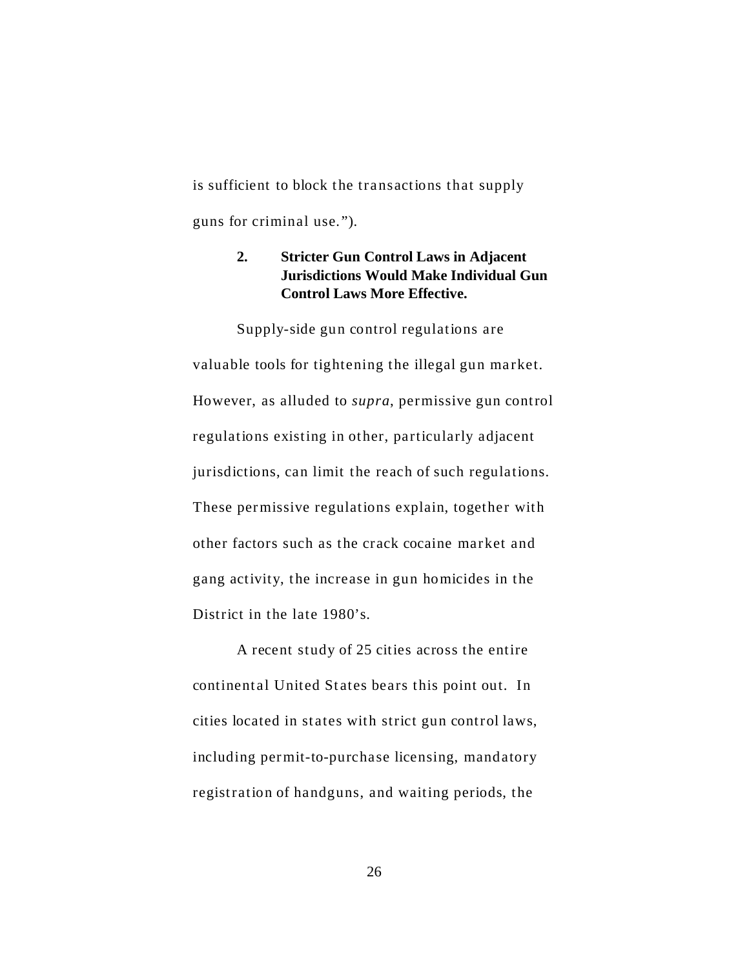is sufficient to block the transactions that supply guns for criminal use.").

## **2. Stricter Gun Control Laws in Adjacent Jurisdictions Would Make Individual Gun Control Laws More Effective.**

Supply-side gun control regulations are valuable tools for tightening the illegal gun market. However, as alluded to *supra*, permissive gun control regulations existing in other, particularly adjacent jurisdictions, can limit the reach of such regulations. These permissive regulations explain, together with other factors such as the crack cocaine mar ket and gang activity, the increase in gun homicides in the District in the late 1980's.

A recent study of 25 cities across the entire continental United States bears this point out. In cities located in states with strict gun control laws, including permit-to-purchase licensing, mandatory registration of handguns, and waiting periods, the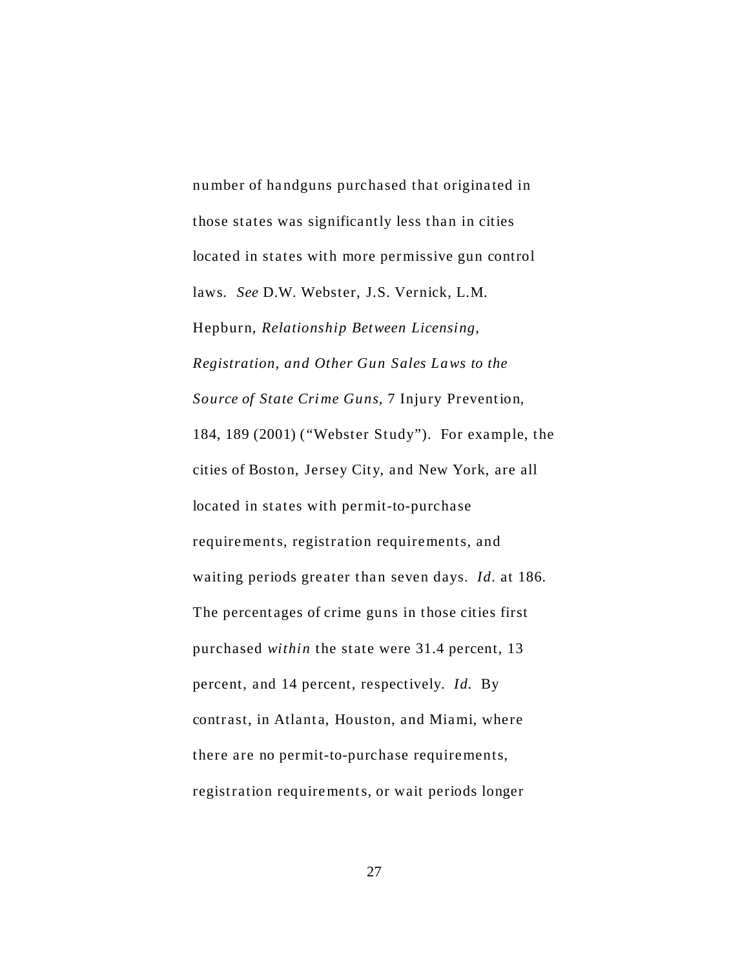number of handguns purchased that originated in those states was significantly less than in cities located in states with more permissive gun control laws. *See* D.W. Webster, J.S. Vernick, L.M. Hepburn, *Relationship Between Licensing, Registration, and Other Gun Sales Laws to the Source of State Crime Guns*, 7 Injury Prevention, 184, 189 (2001) ("Webster Study"). For example, the cities of Boston, Jersey City, and New York, are all located in states with permit-to-purchase requirements, registration requirements, and waiting periods greater than seven days. *Id.* at 186. The percentages of crime guns in those cities first purchased *within* the state were 31.4 percent, 13 percent, and 14 percent, respectively. *Id.* By contrast, in Atlanta, Houston, and Miami, where there are no permit-to-purchase requirements, registration requirements, or wait periods longer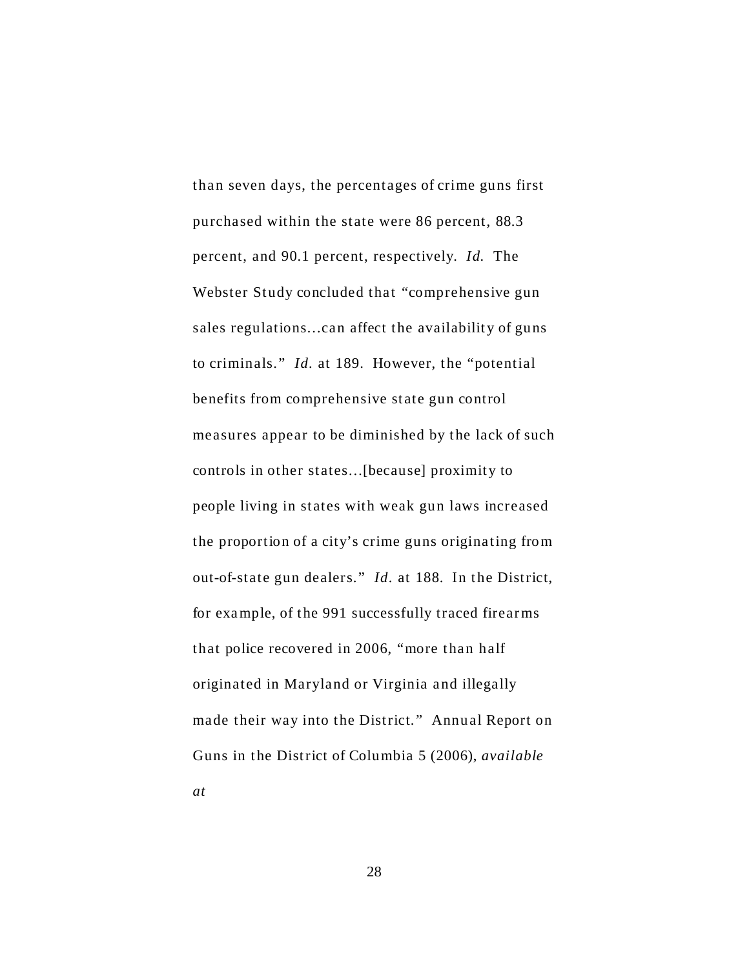than seven days, the percentages of crime guns first purchased within the state were 86 percent, 88.3 percent, and 90.1 percent, respectively. *Id.* The Webster Study concluded that "comprehensive gun sales regulations…can affect the availability of guns to criminals." *Id.* at 189. However, the "potential benefits from comprehensive state gun control measures appear to be diminished by the lack of such controls in other states…[because] proximity to people living in states with weak gun laws increased the proportion of a city's crime guns originating from out-of-state gun dealers." *Id.* at 188. In the District, for exa mple, of the 991 successfully traced firear ms that police recovered in 2006, "more than half originated in Maryland or Virginia and illegally made their way into the District." Annual Report on Guns in the District of Columbia 5 (2006), *available at*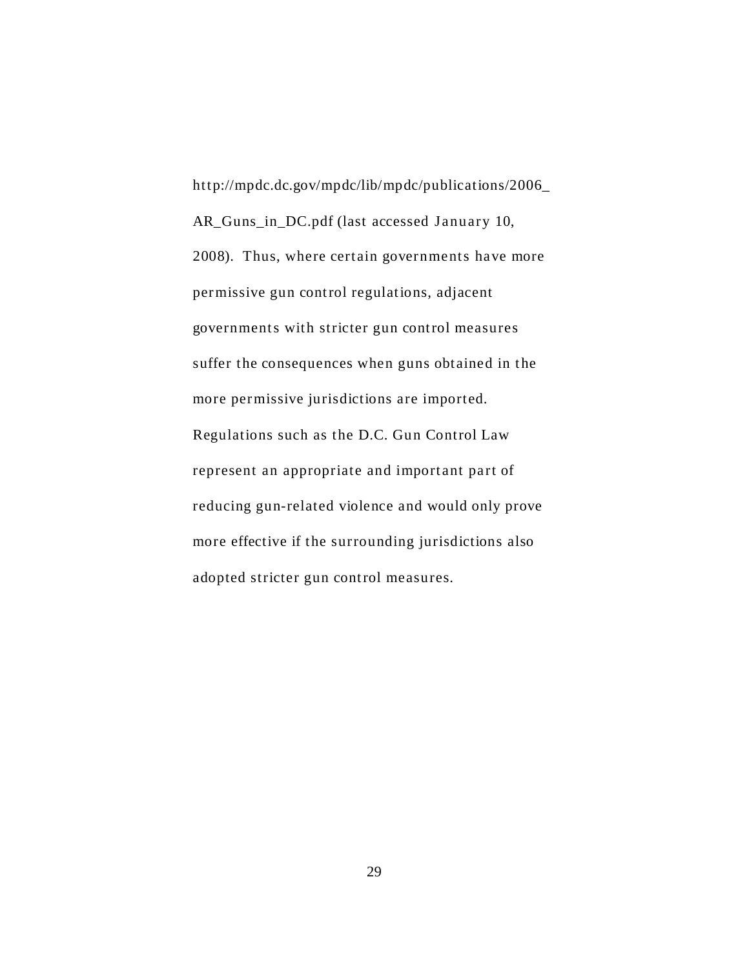[http://mpdc.dc.gov/mpdc/lib/mpdc/publications/2006\\_](http://mpdc.dc.gov/mpdc/lib/mpdc/publications/2006_) AR\_Guns\_in\_DC.pdf (last accessed January 10, 2008). Thus, where certain governments have more permissive gun control regulations, adjacent governments with stricter gun control measures suffer the consequences when guns obtained in the more permissive jurisdictions are imported. Regulations such as the D.C. Gun Control Law represent an appropriate and important part of reducing gun-related violence and would only prove more effective if the surrounding jurisdictions also adopted stricter gun control measures.